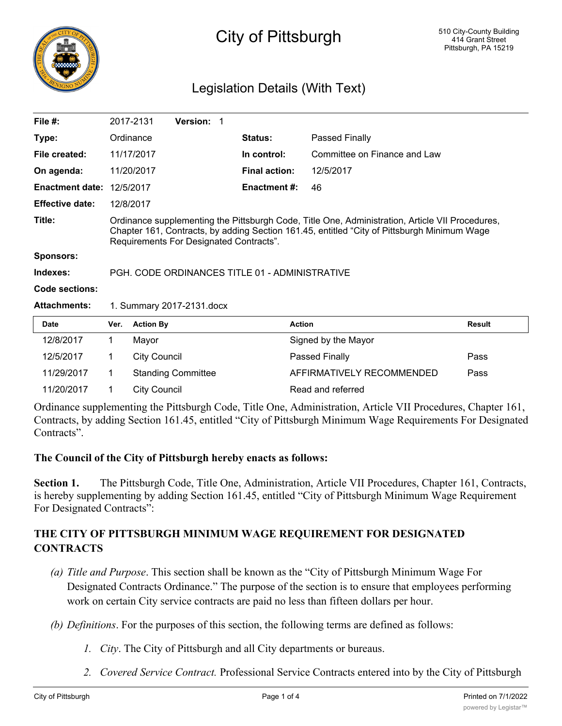

## City of Pittsburgh

## Legislation Details (With Text)

| File $#$ :             |                                                                                                                                                                                                                                           | 2017-2131           | <b>Version:</b> |  |                      |                              |               |
|------------------------|-------------------------------------------------------------------------------------------------------------------------------------------------------------------------------------------------------------------------------------------|---------------------|-----------------|--|----------------------|------------------------------|---------------|
| Type:                  |                                                                                                                                                                                                                                           | Ordinance           |                 |  | <b>Status:</b>       | Passed Finally               |               |
| File created:          |                                                                                                                                                                                                                                           | 11/17/2017          |                 |  | In control:          | Committee on Finance and Law |               |
| On agenda:             |                                                                                                                                                                                                                                           | 11/20/2017          |                 |  | <b>Final action:</b> | 12/5/2017                    |               |
| <b>Enactment date:</b> |                                                                                                                                                                                                                                           | 12/5/2017           |                 |  | <b>Enactment #:</b>  | 46                           |               |
| <b>Effective date:</b> |                                                                                                                                                                                                                                           | 12/8/2017           |                 |  |                      |                              |               |
| Title:                 | Ordinance supplementing the Pittsburgh Code, Title One, Administration, Article VII Procedures,<br>Chapter 161, Contracts, by adding Section 161.45, entitled "City of Pittsburgh Minimum Wage<br>Requirements For Designated Contracts". |                     |                 |  |                      |                              |               |
| <b>Sponsors:</b>       |                                                                                                                                                                                                                                           |                     |                 |  |                      |                              |               |
| Indexes:               | PGH, CODE ORDINANCES TITLE 01 - ADMINISTRATIVE                                                                                                                                                                                            |                     |                 |  |                      |                              |               |
| <b>Code sections:</b>  |                                                                                                                                                                                                                                           |                     |                 |  |                      |                              |               |
| <b>Attachments:</b>    | 1. Summary 2017-2131.docx                                                                                                                                                                                                                 |                     |                 |  |                      |                              |               |
| <b>Date</b>            | Ver.                                                                                                                                                                                                                                      | <b>Action By</b>    |                 |  | <b>Action</b>        |                              | <b>Result</b> |
| 12/8/2017              | 1                                                                                                                                                                                                                                         | Mayor               |                 |  |                      | Signed by the Mayor          |               |
| 12/5/2017              | 1                                                                                                                                                                                                                                         | <b>City Council</b> |                 |  |                      | Passed Finally               | Pass          |

11/29/2017 1 Standing Committee **AFFIRMATIVELY RECOMMENDED** Pass 11/20/2017 1 City Council Read and referred Ordinance supplementing the Pittsburgh Code, Title One, Administration, Article VII Procedures, Chapter 161, Contracts, by adding Section 161.45, entitled "City of Pittsburgh Minimum Wage Requirements For Designated

## **The Council of the City of Pittsburgh hereby enacts as follows:**

**Section 1.** The Pittsburgh Code, Title One, Administration, Article VII Procedures, Chapter 161, Contracts, is hereby supplementing by adding Section 161.45, entitled "City of Pittsburgh Minimum Wage Requirement For Designated Contracts":

## **THE CITY OF PITTSBURGH MINIMUM WAGE REQUIREMENT FOR DESIGNATED CONTRACTS**

- *(a) Title and Purpose*. This section shall be known as the "City of Pittsburgh Minimum Wage For Designated Contracts Ordinance." The purpose of the section is to ensure that employees performing work on certain City service contracts are paid no less than fifteen dollars per hour.
- *(b) Definitions*. For the purposes of this section, the following terms are defined as follows:
	- *1. City*. The City of Pittsburgh and all City departments or bureaus.
	- *2. Covered Service Contract.* Professional Service Contracts entered into by the City of Pittsburgh

Contracts".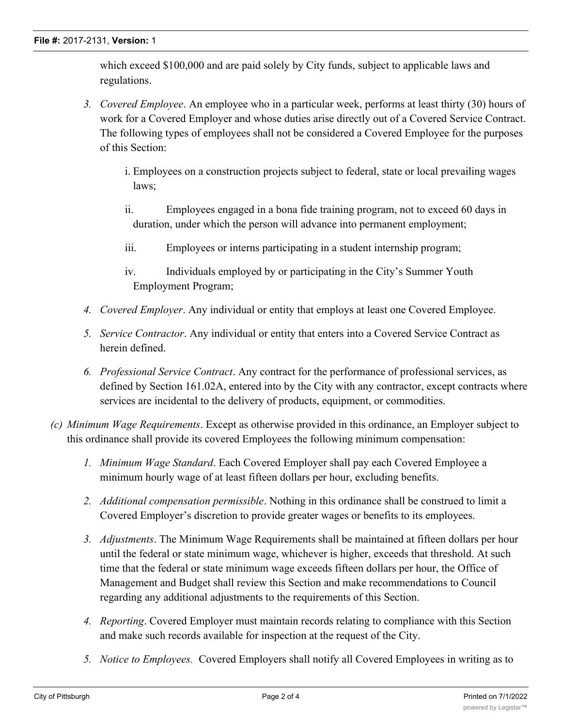which exceed \$100,000 and are paid solely by City funds, subject to applicable laws and regulations.

- *3. Covered Employee*. An employee who in a particular week, performs at least thirty (30) hours of work for a Covered Employer and whose duties arise directly out of a Covered Service Contract. The following types of employees shall not be considered a Covered Employee for the purposes of this Section:
	- i. Employees on a construction projects subject to federal, state or local prevailing wages laws;
	- ii. Employees engaged in a bona fide training program, not to exceed 60 days in duration, under which the person will advance into permanent employment;
	- iii. Employees or interns participating in a student internship program;
	- iv. Individuals employed by or participating in the City's Summer Youth Employment Program;
- *4. Covered Employer*. Any individual or entity that employs at least one Covered Employee.
- *5. Service Contractor*. Any individual or entity that enters into a Covered Service Contract as herein defined.
- *6. Professional Service Contract*. Any contract for the performance of professional services, as defined by Section 161.02A, entered into by the City with any contractor, except contracts where services are incidental to the delivery of products, equipment, or commodities.
- *(c) Minimum Wage Requirements*. Except as otherwise provided in this ordinance, an Employer subject to this ordinance shall provide its covered Employees the following minimum compensation:
	- *1. Minimum Wage Standard*. Each Covered Employer shall pay each Covered Employee a minimum hourly wage of at least fifteen dollars per hour, excluding benefits.
	- *2. Additional compensation permissible*. Nothing in this ordinance shall be construed to limit a Covered Employer's discretion to provide greater wages or benefits to its employees.
	- *3. Adjustments*. The Minimum Wage Requirements shall be maintained at fifteen dollars per hour until the federal or state minimum wage, whichever is higher, exceeds that threshold. At such time that the federal or state minimum wage exceeds fifteen dollars per hour, the Office of Management and Budget shall review this Section and make recommendations to Council regarding any additional adjustments to the requirements of this Section.
	- *4. Reporting*. Covered Employer must maintain records relating to compliance with this Section and make such records available for inspection at the request of the City.
	- *5. Notice to Employees.* Covered Employers shall notify all Covered Employees in writing as to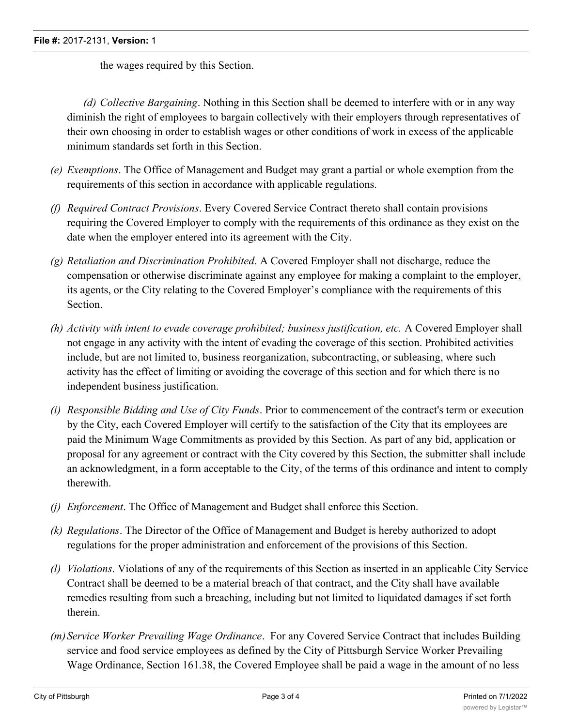the wages required by this Section.

*(d) Collective Bargaining*. Nothing in this Section shall be deemed to interfere with or in any way diminish the right of employees to bargain collectively with their employers through representatives of their own choosing in order to establish wages or other conditions of work in excess of the applicable minimum standards set forth in this Section.

- *(e) Exemptions*. The Office of Management and Budget may grant a partial or whole exemption from the requirements of this section in accordance with applicable regulations.
- *(f) Required Contract Provisions*. Every Covered Service Contract thereto shall contain provisions requiring the Covered Employer to comply with the requirements of this ordinance as they exist on the date when the employer entered into its agreement with the City.
- *(g) Retaliation and Discrimination Prohibited*. A Covered Employer shall not discharge, reduce the compensation or otherwise discriminate against any employee for making a complaint to the employer, its agents, or the City relating to the Covered Employer's compliance with the requirements of this Section.
- *(h) Activity with intent to evade coverage prohibited; business justification, etc.* A Covered Employer shall not engage in any activity with the intent of evading the coverage of this section. Prohibited activities include, but are not limited to, business reorganization, subcontracting, or subleasing, where such activity has the effect of limiting or avoiding the coverage of this section and for which there is no independent business justification.
- *(i) Responsible Bidding and Use of City Funds*. Prior to commencement of the contract's term or execution by the City, each Covered Employer will certify to the satisfaction of the City that its employees are paid the Minimum Wage Commitments as provided by this Section. As part of any bid, application or proposal for any agreement or contract with the City covered by this Section, the submitter shall include an acknowledgment, in a form acceptable to the City, of the terms of this ordinance and intent to comply therewith.
- *(j) Enforcement*. The Office of Management and Budget shall enforce this Section.
- *(k) Regulations*. The Director of the Office of Management and Budget is hereby authorized to adopt regulations for the proper administration and enforcement of the provisions of this Section.
- *(l) Violations*. Violations of any of the requirements of this Section as inserted in an applicable City Service Contract shall be deemed to be a material breach of that contract, and the City shall have available remedies resulting from such a breaching, including but not limited to liquidated damages if set forth therein.
- *(m)Service Worker Prevailing Wage Ordinance*. For any Covered Service Contract that includes Building service and food service employees as defined by the City of Pittsburgh Service Worker Prevailing Wage Ordinance, Section 161.38, the Covered Employee shall be paid a wage in the amount of no less